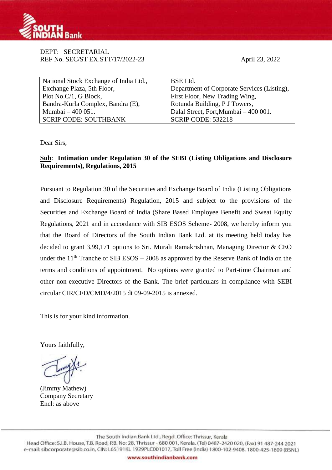

DEPT: SECRETARIAL REF No. SEC/ST EX.STT/17/2022-23 April 23, 2022

| National Stock Exchange of India Ltd., | BSE Ltd.                                    |
|----------------------------------------|---------------------------------------------|
| Exchange Plaza, 5th Floor,             | Department of Corporate Services (Listing), |
| Plot No.C/1, G Block,                  | First Floor, New Trading Wing,              |
| Bandra-Kurla Complex, Bandra (E),      | Rotunda Building, P J Towers,               |
| Mumbai – 400 051.                      | Dalal Street, Fort, Mumbai - 400 001.       |
| <b>SCRIP CODE: SOUTHBANK</b>           | $\vert$ SCRIP CODE: 532218                  |

Dear Sirs,

## **Sub**: **Intimation under Regulation 30 of the SEBI (Listing Obligations and Disclosure Requirements), Regulations, 2015**

Pursuant to Regulation 30 of the Securities and Exchange Board of India (Listing Obligations and Disclosure Requirements) Regulation, 2015 and subject to the provisions of the Securities and Exchange Board of India (Share Based Employee Benefit and Sweat Equity Regulations, 2021 and in accordance with SIB ESOS Scheme- 2008, we hereby inform you that the Board of Directors of the South Indian Bank Ltd. at its meeting held today has decided to grant 3,99,171 options to Sri. Murali Ramakrishnan, Managing Director & CEO under the  $11<sup>th</sup>$  Tranche of SIB ESOS – 2008 as approved by the Reserve Bank of India on the terms and conditions of appointment. No options were granted to Part-time Chairman and other non-executive Directors of the Bank. The brief particulars in compliance with SEBI circular CIR/CFD/CMD/4/2015 dt 09-09-2015 is annexed.

This is for your kind information.

Yours faithfully,

(Jimmy Mathew) Company Secretary Encl: as above

The South Indian Bank Ltd., Regd. Office: Thrissur, Kerala Head Office: S.I.B. House, T.B. Road, P.B. No: 28, Thrissur - 680 001, Kerala. (Tel) 0487-2420 020, (Fax) 91 487-244 2021 e-mail: sibcorporate@sib.co.in, CIN: L65191KL 1929PLC001017, Toll Free (India) 1800-102-9408, 1800-425-1809 (BSNL)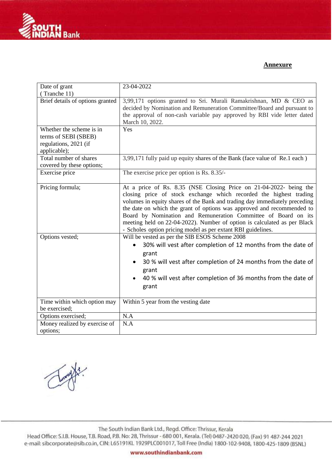

## **Annexure**

| Date of grant                                                                             | 23-04-2022                                                                                                                                                                                                                                                                                                                                                                                                                                                                                                     |
|-------------------------------------------------------------------------------------------|----------------------------------------------------------------------------------------------------------------------------------------------------------------------------------------------------------------------------------------------------------------------------------------------------------------------------------------------------------------------------------------------------------------------------------------------------------------------------------------------------------------|
| (Tranche 11)                                                                              |                                                                                                                                                                                                                                                                                                                                                                                                                                                                                                                |
| Brief details of options granted                                                          | 3,99,171 options granted to Sri. Murali Ramakrishnan, MD & CEO as<br>decided by Nomination and Remuneration Committee/Board and pursuant to<br>the approval of non-cash variable pay approved by RBI vide letter dated<br>March 10, 2022.                                                                                                                                                                                                                                                                      |
| Whether the scheme is in<br>terms of SEBI (SBEB)<br>regulations, 2021 (if<br>applicable); | Yes                                                                                                                                                                                                                                                                                                                                                                                                                                                                                                            |
| Total number of shares<br>covered by these options;                                       | 3,99,171 fully paid up equity shares of the Bank (face value of Re.1 each)                                                                                                                                                                                                                                                                                                                                                                                                                                     |
| Exercise price                                                                            | The exercise price per option is Rs. 8.35/-                                                                                                                                                                                                                                                                                                                                                                                                                                                                    |
| Pricing formula;                                                                          | At a price of Rs. 8.35 (NSE Closing Price on 21-04-2022- being the<br>closing price of stock exchange which recorded the highest trading<br>volumes in equity shares of the Bank and trading day immediately preceding<br>the date on which the grant of options was approved and recommended to<br>Board by Nomination and Remuneration Committee of Board on its<br>meeting held on 22-04-2022). Number of option is calculated as per Black<br>- Scholes option pricing model as per extant RBI guidelines. |
| Options vested;                                                                           | Will be vested as per the SIB ESOS Scheme 2008<br>30% will vest after completion of 12 months from the date of<br>grant<br>30 % will vest after completion of 24 months from the date of<br>grant<br>40 % will vest after completion of 36 months from the date of<br>grant                                                                                                                                                                                                                                    |
| Time within which option may<br>be exercised;                                             | Within 5 year from the vesting date                                                                                                                                                                                                                                                                                                                                                                                                                                                                            |
| Options exercised;                                                                        | N.A                                                                                                                                                                                                                                                                                                                                                                                                                                                                                                            |
| Money realized by exercise of<br>options:                                                 | N.A                                                                                                                                                                                                                                                                                                                                                                                                                                                                                                            |

The South Indian Bank Ltd., Regd. Office: Thrissur, Kerala

Head Office: S.I.B. House, T.B. Road, P.B. No: 28, Thrissur - 680 001, Kerala. (Tel) 0487-2420 020, (Fax) 91 487-244 2021 e-mail: sibcorporate@sib.co.in, CIN: L65191KL 1929PLC001017, Toll Free (India) 1800-102-9408, 1800-425-1809 (BSNL)